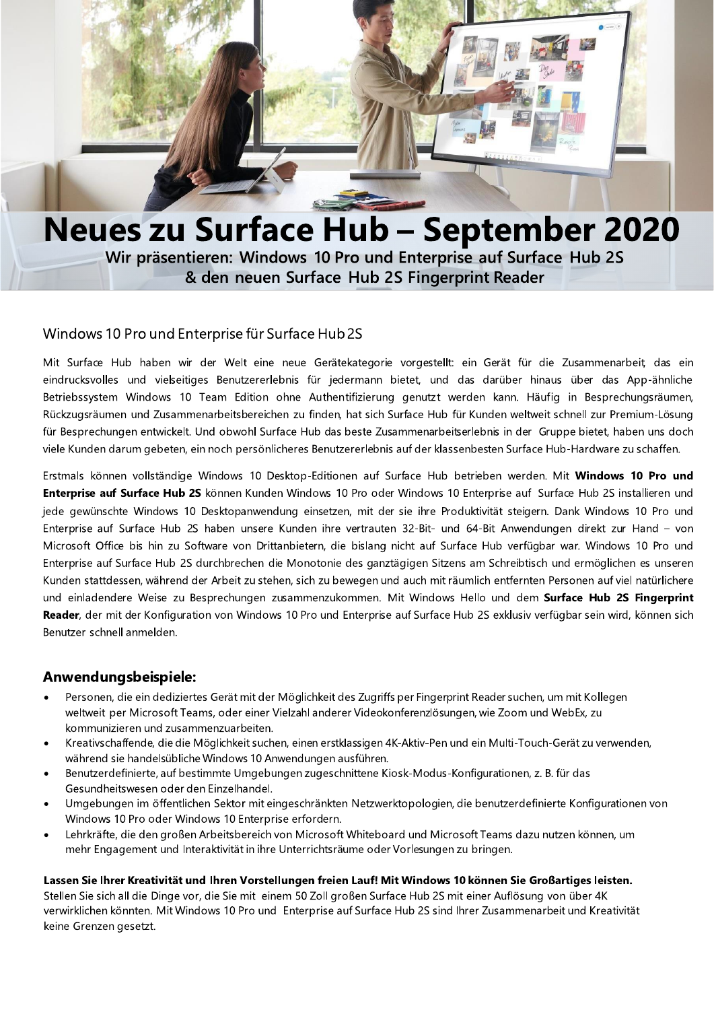

# **Neues zu Surface Hub - September 2020**

Wir präsentieren: Windows 10 Pro und Enterprise auf Surface Hub 2S & den neuen Surface Hub 2S Fingerprint Reader

#### Windows 10 Pro und Enterprise für Surface Hub 2S

Mit Surface Hub haben wir der Welt eine neue Gerätekategorie vorgestellt: ein Gerät für die Zusammenarbeit, das ein eindrucksvolles und vielseitiges Benutzererlebnis für jedermann bietet, und das darüber hinaus über das App-ähnliche Betriebssystem Windows 10 Team Edition ohne Authentifizierung genutzt werden kann. Häufig in Besprechungsräumen, Rückzugsräumen und Zusammenarbeitsbereichen zu finden, hat sich Surface Hub für Kunden weltweit schnell zur Premium-Lösung für Besprechungen entwickelt. Und obwohl Surface Hub das beste Zusammenarbeitserlebnis in der Gruppe bietet, haben uns doch viele Kunden darum gebeten, ein noch persönlicheres Benutzererlebnis auf der klassenbesten Surface Hub-Hardware zu schaffen.

Erstmals können vollständige Windows 10 Desktop-Editionen auf Surface Hub betrieben werden. Mit Windows 10 Pro und Enterprise auf Surface Hub 2S können Kunden Windows 10 Pro oder Windows 10 Enterprise auf Surface Hub 2S installieren und jede gewünschte Windows 10 Desktopanwendung einsetzen, mit der sie ihre Produktivität steigern. Dank Windows 10 Pro und Enterprise auf Surface Hub 2S haben unsere Kunden ihre vertrauten 32-Bit- und 64-Bit Anwendungen direkt zur Hand - von Microsoft Office bis hin zu Software von Drittanbietern, die bislang nicht auf Surface Hub verfügbar war. Windows 10 Pro und Enterprise auf Surface Hub 2S durchbrechen die Monotonie des ganztägigen Sitzens am Schreibtisch und ermöglichen es unseren Kunden stattdessen, während der Arbeit zu stehen, sich zu bewegen und auch mit räumlich entfernten Personen auf viel natürlichere und einladendere Weise zu Besprechungen zusammenzukommen. Mit Windows Hello und dem Surface Hub 2S Fingerprint Reader, der mit der Konfiguration von Windows 10 Pro und Enterprise auf Surface Hub 2S exklusiv verfügbar sein wird, können sich Benutzer schnell anmelden.

#### Anwendungsbeispiele:

- Personen, die ein dediziertes Gerät mit der Möglichkeit des Zugriffs per Fingerprint Reader suchen, um mit Kollegen weltweit per Microsoft Teams, oder einer Vielzahl anderer Videokonferenzlösungen, wie Zoom und WebEx, zu kommunizieren und zusammenzuarbeiten.
- Kreativschaffende, die die Möglichkeit suchen, einen erstklassigen 4K-Aktiv-Pen und ein Multi-Touch-Gerät zu verwenden, während sie handelsübliche Windows 10 Anwendungen ausführen.
- Benutzerdefinierte, auf bestimmte Umgebungen zugeschnittene Kiosk-Modus-Konfigurationen, z. B. für das Gesundheitswesen oder den Einzelhandel.
- Umgebungen im öffentlichen Sektor mit eingeschränkten Netzwerktopologien, die benutzerdefinierte Konfigurationen von Windows 10 Pro oder Windows 10 Enterprise erfordern.
- Lehrkräfte, die den großen Arbeitsbereich von Microsoft Whiteboard und Microsoft Teams dazu nutzen können, um mehr Engagement und Interaktivität in ihre Unterrichtsräume oder Vorlesungen zu bringen.

#### Lassen Sie Ihrer Kreativität und Ihren Vorstellungen freien Lauf! Mit Windows 10 können Sie Großartiges leisten.

Stellen Sie sich all die Dinge vor, die Sie mit einem 50 Zoll großen Surface Hub 2S mit einer Auflösung von über 4K verwirklichen könnten. Mit Windows 10 Pro und Enterprise auf Surface Hub 2S sind Ihrer Zusammenarbeit und Kreativität keine Grenzen gesetzt.